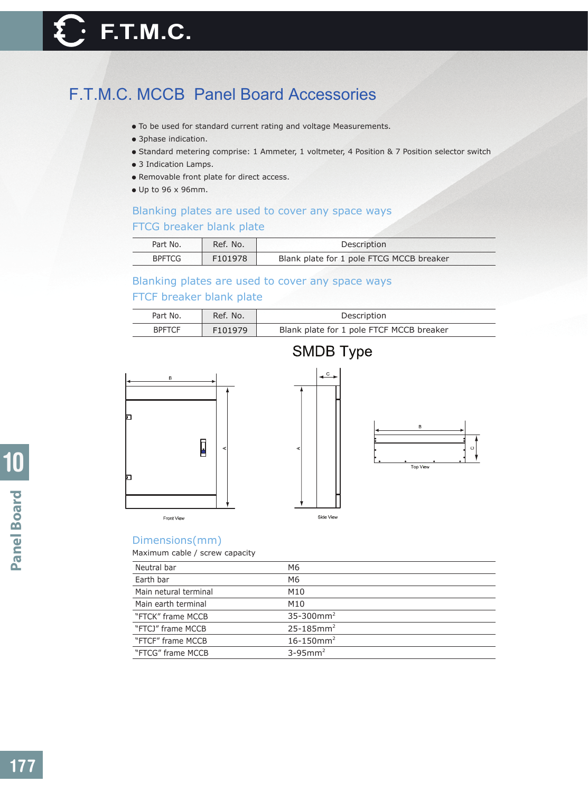# F.T.M.C. MCCB Panel Board Accessories

- To be used for standard current rating and voltage Measurements.
- 3phase indication.
- Standard metering comprise: 1 Ammeter, 1 voltmeter, 4 Position & 7 Position selector switch
- 3 Indication Lamps.
- Removable front plate for direct access.
- Up to 96 x 96mm.

### Blanking plates are used to cover any space ways FTCG breaker blank plate

| Part No.      | Ref. No. | Description                              |
|---------------|----------|------------------------------------------|
| <b>BPFTCG</b> | F101978  | Blank plate for 1 pole FTCG MCCB breaker |

## Blanking plates are used to cover any space ways

### FTCF breaker blank plate

| Part No.      | Ref. No. | Description                              |  |  |
|---------------|----------|------------------------------------------|--|--|
| <b>BPFTCF</b> | F101979  | Blank plate for 1 pole FTCF MCCB breaker |  |  |







Front View



| Neutral bar           | M6                         |
|-----------------------|----------------------------|
| Earth bar             | M6                         |
| Main netural terminal | M10                        |
| Main earth terminal   | M10                        |
| "FTCK" frame MCCB     | $35 - 300$ mm <sup>2</sup> |
| "FTCJ" frame MCCB     | $25 - 185$ mm <sup>2</sup> |
| "FTCF" frame MCCB     | $16 - 150$ mm <sup>2</sup> |
| "FTCG" frame MCCB     | $3-95$ mm <sup>2</sup>     |
|                       |                            |

Side View